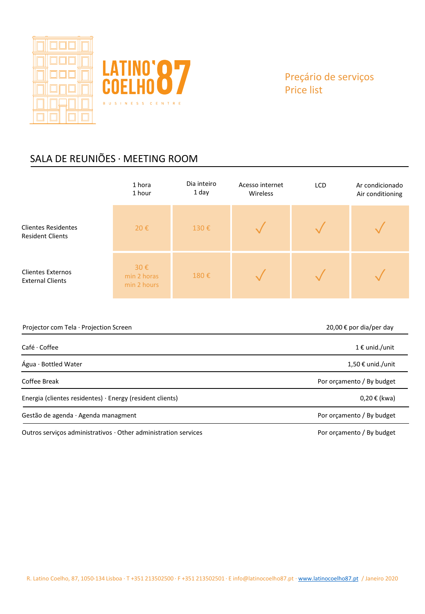

## SALA DE REUNIÕES · MEETING ROOM

|                                                                           | 1 hora<br>1 hour                  | Dia inteiro<br>1 day | Acesso internet<br>Wireless | <b>LCD</b> | Ar condicionado<br>Air conditioning |
|---------------------------------------------------------------------------|-----------------------------------|----------------------|-----------------------------|------------|-------------------------------------|
| <b>Clientes Residentes</b><br><b>Resident Clients</b>                     | 20€                               | 130€                 |                             |            |                                     |
| <b>Clientes Externos</b><br><b>External Clients</b>                       | 30€<br>min 2 horas<br>min 2 hours | 180€                 |                             |            |                                     |
| 20,00 € por dia/per day<br>Projector com Tela · Projection Screen         |                                   |                      |                             |            |                                     |
| Café · Coffee<br>1 € unid./unit                                           |                                   |                      |                             |            |                                     |
| Água · Bottled Water                                                      |                                   |                      |                             |            | 1,50 € unid./unit                   |
| Coffee Break<br>Por orçamento / By budget                                 |                                   |                      |                             |            |                                     |
| Energia (clientes residentes) · Energy (resident clients)<br>0,20 € (kwa) |                                   |                      |                             |            |                                     |

Gestão de agenda · Agenda managment established a substitution de services por orçamento / By budget

Outros serviços administrativos · Other administration services Por and During Por orçamento / By budget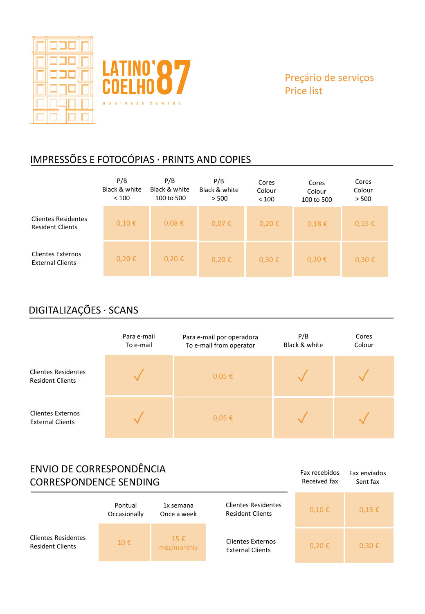



Fax recebidos Received fax

Fax enviados Sent fax

## IMPRESSÕES E FOTOCÓPIAS · PRINTS AND COPIES

|                                                       | P/B<br>Black & white<br>< 100 | P/B<br>Black & white<br>100 to 500 | P/B<br>Black & white<br>> 500 | Cores<br>Colour<br>< 100 | Cores<br>Colour<br>100 to 500 | Cores<br>Colour<br>> 500 |
|-------------------------------------------------------|-------------------------------|------------------------------------|-------------------------------|--------------------------|-------------------------------|--------------------------|
| <b>Clientes Residentes</b><br><b>Resident Clients</b> | 0,10€                         | 0,08€                              | 0,07€                         | 0,20€                    | 0,18€                         | $0,15 \in$               |
| <b>Clientes Externos</b><br><b>External Clients</b>   | 0,20€                         | $0,20 \in$                         | 0,20€                         | $0,30 \in$               | $0.30 \epsilon$               | $0,30 \in$               |

# DIGITALIZAÇÕES · SCANS

|                                                       | Para e-mail<br>To e-mail | Para e-mail por operadora<br>To e-mail from operator | P/B<br>Black & white | Cores<br>Colour |
|-------------------------------------------------------|--------------------------|------------------------------------------------------|----------------------|-----------------|
| <b>Clientes Residentes</b><br><b>Resident Clients</b> |                          | $0,05 \in$                                           |                      |                 |
| <b>Clientes Externos</b><br><b>External Clients</b>   |                          | $0,05 \in$                                           |                      |                 |

## ENVIO DE CORRESPONDÊNCIA CORRESPONDENCE SENDING

| ~~~~~~~~~~~~~~~~~~~~~~~~                              | Pontual<br>Occasionally | 1x semana<br>Once a week | <b>Clientes Residentes</b><br><b>Resident Clients</b> | $0,10 \in$ | $0.15 \in$ |
|-------------------------------------------------------|-------------------------|--------------------------|-------------------------------------------------------|------------|------------|
| <b>Clientes Residentes</b><br><b>Resident Clients</b> | 10E                     | $15 \in$<br>mês/monthly  | <b>Clientes Externos</b><br><b>External Clients</b>   | 0,20€      | 0,30€      |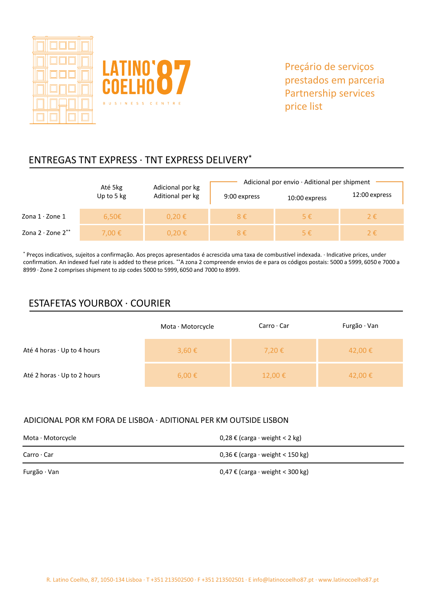



## ENTREGAS TNT EXPRESS · TNT EXPRESS DELIVERY\*

|                              | Até 5kg    | Adicional por kg | Adicional por envio $\cdot$ Aditional per shipment |               |               |
|------------------------------|------------|------------------|----------------------------------------------------|---------------|---------------|
|                              | Up to 5 kg | Aditional per kg | 9:00 express                                       | 10:00 express | 12:00 express |
| Zona $1 \cdot$ Zone $1$      | $6,50 \in$ | $0.20 \epsilon$  | $8 \in$                                            | $5 \in$       | 2€            |
| Zona $2 \cdot$ Zone $2^{**}$ | 7.00 €     | $0.20 \notin$    | $8 \in$                                            | $5 \in$       | 2€.           |

\* Preços indicativos, sujeitos a confirmação. Aos preços apresentados é acrescida uma taxa de combustível indexada. · Indicative prices, under confirmation. An indexed fuel rate is added to these prices. \*\*A zona 2 compreende envios de e para os códigos postais: 5000 a 5999, 6050 e 7000 a 8999 · Zone 2 comprises shipment to zip codes 5000 to 5999, 6050 and 7000 to 8999.

### ESTAFETAS YOURBOX · COURIER

|                                   | Mota $\cdot$ Motorcycle | $Carro \cdot Car$ | Furgão $\cdot$ Van |
|-----------------------------------|-------------------------|-------------------|--------------------|
| Até 4 horas $\cdot$ Up to 4 hours | $3,60 \in$              | 7,20€             | 42,00 €            |
| Até 2 horas · Up to 2 hours       | $6,00 \in$              | $12,00 \in$       | 42,00 €            |

#### ADICIONAL POR KM FORA DE LISBOA · ADITIONAL PER KM OUTSIDE LISBON

| Mota · Motorcycle  | 0,28 € (carga · weight < 2 kg)          |
|--------------------|-----------------------------------------|
| $Carro \cdot Car$  | $0,36 \in$ (carga · weight < 150 kg)    |
| Furgão $\cdot$ Van | $0,47 \notin$ (carga ⋅ weight < 300 kg) |